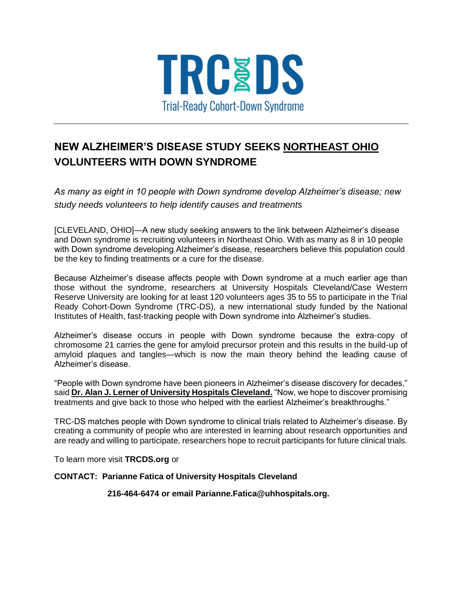

## **NEW ALZHEIMER'S DISEASE STUDY SEEKS NORTHEAST OHIO VOLUNTEERS WITH DOWN SYNDROME**

*As many as eight in 10 people with Down syndrome develop Alzheimer's disease; new study needs volunteers to help identify causes and treatments*

[CLEVELAND, OHIO]—A new study seeking answers to the link between Alzheimer's disease and Down syndrome is recruiting volunteers in Northeast Ohio. With as many as 8 in 10 people with Down syndrome developing Alzheimer's disease, researchers believe this population could be the key to finding treatments or a cure for the disease.

Because Alzheimer's disease affects people with Down syndrome at a much earlier age than those without the syndrome, researchers at University Hospitals Cleveland/Case Western Reserve University are looking for at least 120 volunteers ages 35 to 55 to participate in the Trial Ready Cohort-Down Syndrome (TRC-DS), a new international study funded by the National Institutes of Health, fast-tracking people with Down syndrome into Alzheimer's studies.

Alzheimer's disease occurs in people with Down syndrome because the extra-copy of chromosome 21 carries the gene for amyloid precursor protein and this results in the build-up of amyloid plaques and tangles—which is now the main theory behind the leading cause of Alzheimer's disease.

"People with Down syndrome have been pioneers in Alzheimer's disease discovery for decades," said **Dr. Alan J. Lerner of University Hospitals Cleveland.** "Now, we hope to discover promising treatments and give back to those who helped with the earliest Alzheimer's breakthroughs."

TRC-DS matches people with Down syndrome to clinical trials related to Alzheimer's disease. By creating a community of people who are interested in learning about research opportunities and are ready and willing to participate, researchers hope to recruit participants for future clinical trials.

To learn more visit **TRCDS.org** or

## **CONTACT: Parianne Fatica of University Hospitals Cleveland**

 **216-464-6474 or email Parianne.Fatica@uhhospitals.org.**